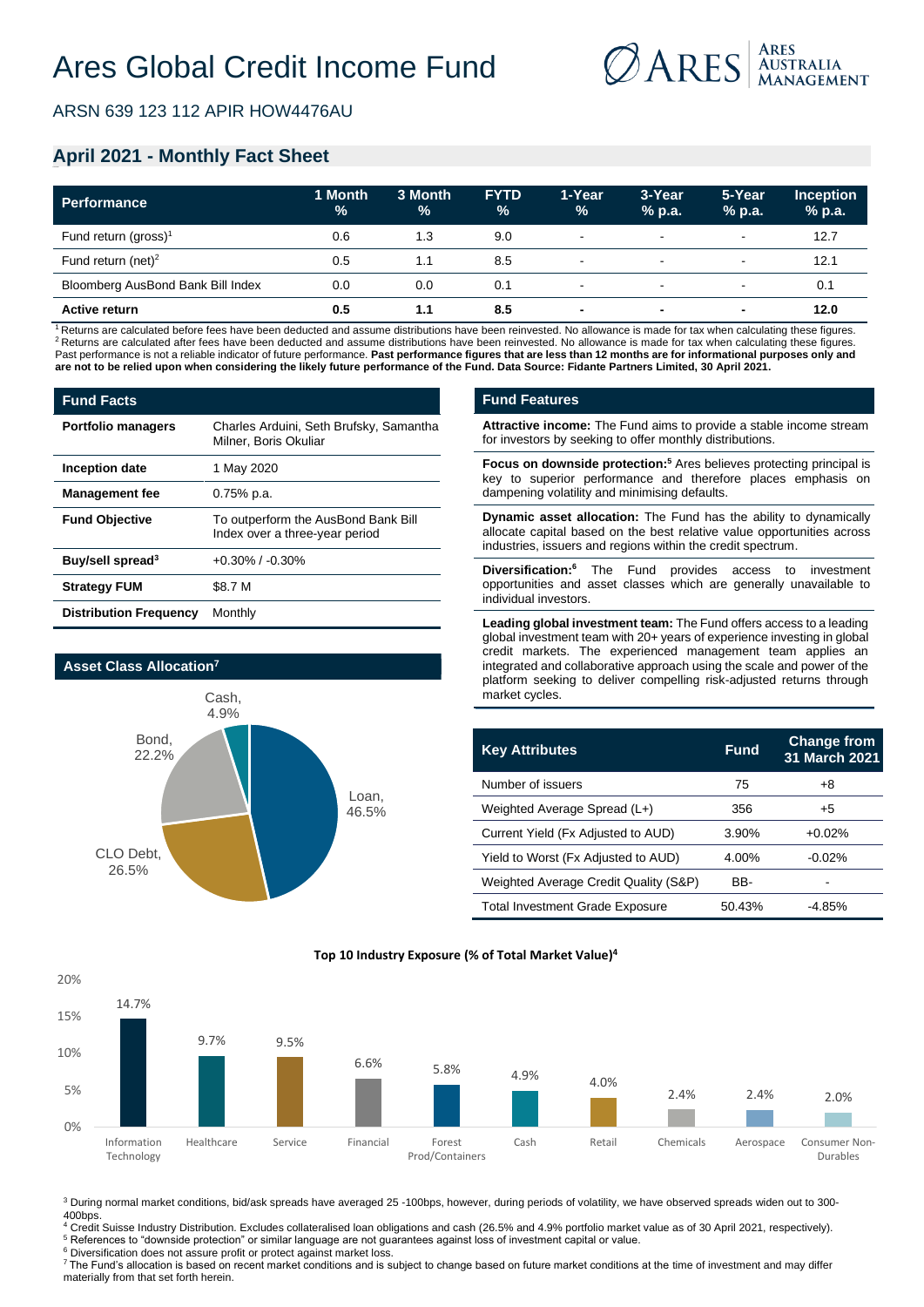

ARSN 639 123 112 APIR HOW4476AU

## **April 2021 - Monthly Fact Sheet**

| <b>Performance</b>                | 1 Month<br>$\frac{9}{6}$ | 3 Month<br>% | <b>FYTD</b><br>$\%$ | 1-Year<br>$\frac{9}{6}$  | 3-Year<br>$%$ p.a.       | 5-Year<br>% p.a.         | <b>Inception</b><br>% p.a. |
|-----------------------------------|--------------------------|--------------|---------------------|--------------------------|--------------------------|--------------------------|----------------------------|
| Fund return (gross) <sup>1</sup>  | 0.6                      | 1.3          | 9.0                 | $\blacksquare$           | $\overline{\phantom{a}}$ | $\overline{\phantom{a}}$ | 12.7                       |
| Fund return (net) <sup>2</sup>    | 0.5                      | 1.1          | 8.5                 | $\sim$                   | $\sim$                   | $\overline{\phantom{a}}$ | 12.1                       |
| Bloomberg AusBond Bank Bill Index | 0.0                      | 0.0          | 0.1                 | $\blacksquare$           | $\,$ $\,$                | $\overline{\phantom{a}}$ | 0.1                        |
| <b>Active return</b>              | 0.5                      | 1.1          | 8.5                 | $\overline{\phantom{a}}$ | $\overline{\phantom{0}}$ | $\overline{\phantom{0}}$ | 12.0                       |

<sup>1</sup>Returns are calculated before fees have been deducted and assume distributions have been reinvested. No allowance is made for tax when calculating these figures. <sup>2</sup> Returns are calculated after fees have been deducted and assume distributions have been reinvested. No allowance is made for tax when calculating these figures. Past performance is not a reliable indicator of future performance. Past performance figures that are less than 12 months are for informational purposes only and **are not to be relied upon when considering the likely future performance of the Fund. Data Source: Fidante Partners Limited, 30 April 2021.**

| <b>Fund Facts</b>             |                                                                       |  |  |  |
|-------------------------------|-----------------------------------------------------------------------|--|--|--|
| <b>Portfolio managers</b>     | Charles Arduini, Seth Brufsky, Samantha<br>Milner, Boris Okuliar      |  |  |  |
| Inception date                | 1 May 2020                                                            |  |  |  |
| <b>Management fee</b>         | $0.75%$ p.a.                                                          |  |  |  |
| <b>Fund Objective</b>         | To outperform the AusBond Bank Bill<br>Index over a three-year period |  |  |  |
| Buy/sell spread <sup>3</sup>  | $+0.30\%$ / $-0.30\%$                                                 |  |  |  |
| <b>Strategy FUM</b>           | \$8.7 M                                                               |  |  |  |
| <b>Distribution Frequency</b> | Monthly                                                               |  |  |  |



#### **Fund Features**

**Attractive income:** The Fund aims to provide a stable income stream for investors by seeking to offer monthly distributions.

**Focus on downside protection:<sup>5</sup>** Ares believes protecting principal is key to superior performance and therefore places emphasis on dampening volatility and minimising defaults.

**Dynamic asset allocation:** The Fund has the ability to dynamically allocate capital based on the best relative value opportunities across industries, issuers and regions within the credit spectrum.

**Diversification:<sup>6</sup>** The Fund provides access to investment opportunities and asset classes which are generally unavailable to individual investors.

**Leading global investment team:** The Fund offers access to a leading global investment team with 20+ years of experience investing in global credit markets. The experienced management team applies an integrated and collaborative approach using the scale and power of the platform seeking to deliver compelling risk-adjusted returns through market cycles.

| <b>Key Attributes</b>                  | <b>Fund</b> | <b>Change from</b><br>31 March 2021 |
|----------------------------------------|-------------|-------------------------------------|
| Number of issuers                      | 75          | +8                                  |
| Weighted Average Spread (L+)           | 356         | +5                                  |
| Current Yield (Fx Adjusted to AUD)     | 3.90%       | $+0.02%$                            |
| Yield to Worst (Fx Adjusted to AUD)    | 4.00%       | $-0.02%$                            |
| Weighted Average Credit Quality (S&P)  | BB-         |                                     |
| <b>Total Investment Grade Exposure</b> | 50.43%      | -4.85%                              |



**Top 10 Industry Exposure (% of Total Market Value)4**

<sup>3</sup> During normal market conditions, bid/ask spreads have averaged 25 -100bps, however, during periods of volatility, we have observed spreads widen out to 300-400bps.

<sup>4</sup> Credit Suisse Industry Distribution. Excludes collateralised loan obligations and cash (26.5% and 4.9% portfolio market value as of 30 April 2021, respectively). <sup>5</sup> References to "downside protection" or similar language are not guarantees against loss of investment capital or value.

<sup>6</sup> Diversification does not assure profit or protect against market loss.

<sup>7</sup>The Fund's allocation is based on recent market conditions and is subject to change based on future market conditions at the time of investment and may differ materially from that set forth herein.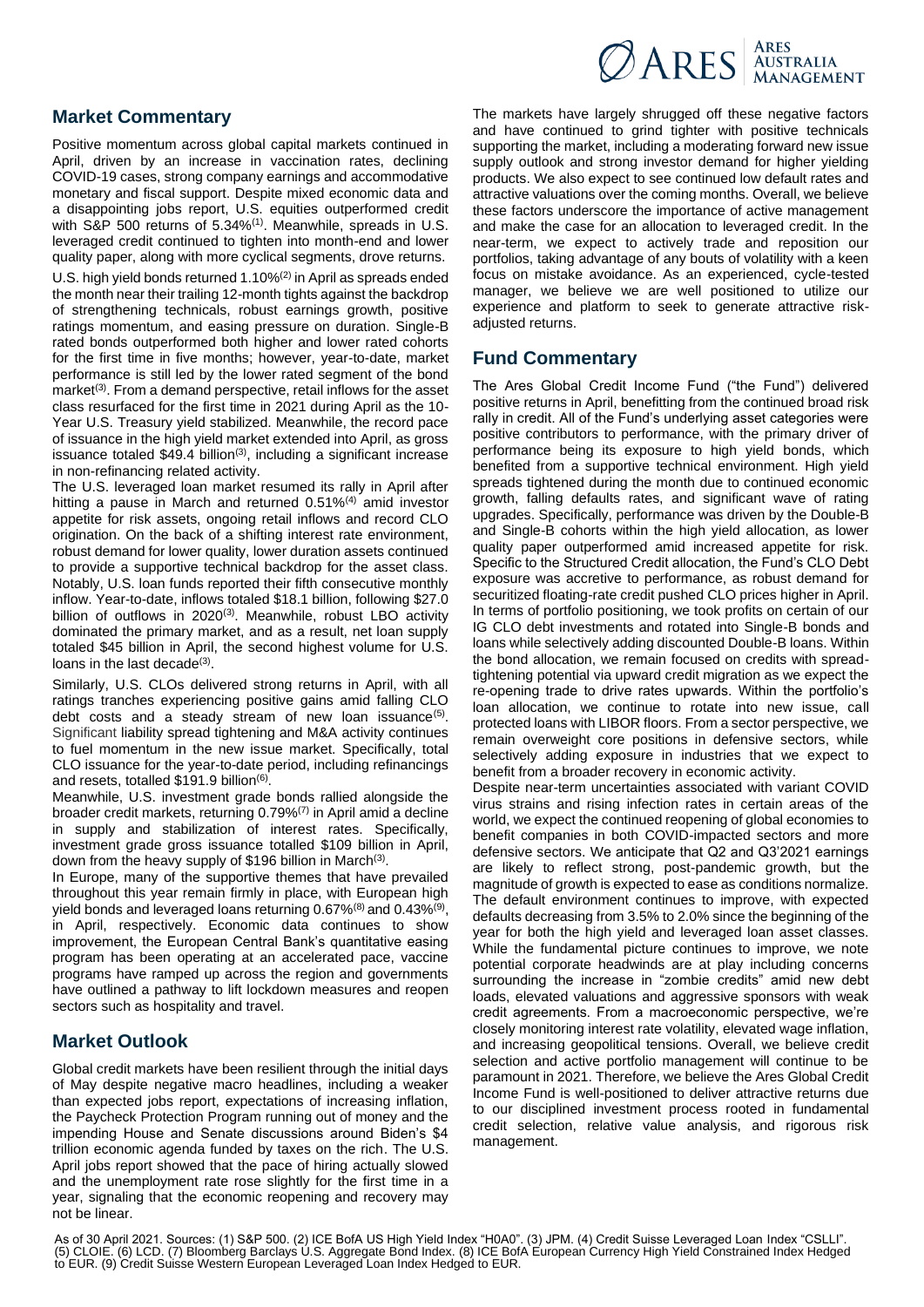# $\n *Q*ARES  $^{ARES}_{MANAGEMENT}$$

### **Market Commentary**

Positive momentum across global capital markets continued in April, driven by an increase in vaccination rates, declining COVID-19 cases, strong company earnings and accommodative monetary and fiscal support. Despite mixed economic data and a disappointing jobs report, U.S. equities outperformed credit with S&P 500 returns of 5.34%<sup>(1)</sup>. Meanwhile, spreads in U.S. leveraged credit continued to tighten into month-end and lower quality paper, along with more cyclical segments, drove returns.

U.S. high yield bonds returned 1.10%<sup>(2)</sup> in April as spreads ended the month near their trailing 12-month tights against the backdrop of strengthening technicals, robust earnings growth, positive ratings momentum, and easing pressure on duration. Single-B rated bonds outperformed both higher and lower rated cohorts for the first time in five months; however, year-to-date, market performance is still led by the lower rated segment of the bond market<sup>(3)</sup>. From a demand perspective, retail inflows for the asset class resurfaced for the first time in 2021 during April as the 10- Year U.S. Treasury yield stabilized. Meanwhile, the record pace of issuance in the high yield market extended into April, as gross issuance totaled  $$49.4$  billion<sup>(3)</sup>, including a significant increase in non-refinancing related activity.

The U.S. leveraged loan market resumed its rally in April after hitting a pause in March and returned 0.51%<sup>(4)</sup> amid investor appetite for risk assets, ongoing retail inflows and record CLO origination. On the back of a shifting interest rate environment, robust demand for lower quality, lower duration assets continued to provide a supportive technical backdrop for the asset class. Notably, U.S. loan funds reported their fifth consecutive monthly inflow. Year-to-date, inflows totaled \$18.1 billion, following \$27.0 billion of outflows in 2020<sup>(3)</sup>. Meanwhile, robust LBO activity dominated the primary market, and as a result, net loan supply totaled \$45 billion in April, the second highest volume for U.S. loans in the last decade<sup>(3)</sup>.

Similarly, U.S. CLOs delivered strong returns in April, with all ratings tranches experiencing positive gains amid falling CLO debt costs and a steady stream of new loan issuance<sup>(5)</sup>. Significant liability spread tightening and M&A activity continues to fuel momentum in the new issue market. Specifically, total CLO issuance for the year-to-date period, including refinancings and resets, totalled \$191.9 billion<sup>(6)</sup>.

Meanwhile, U.S. investment grade bonds rallied alongside the broader credit markets, returning 0.79%(7) in April amid a decline in supply and stabilization of interest rates. Specifically, investment grade gross issuance totalled \$109 billion in April, down from the heavy supply of \$196 billion in March<sup>(3)</sup>.

In Europe, many of the supportive themes that have prevailed throughout this year remain firmly in place, with European high yield bonds and leveraged loans returning 0.67% $^{(8)}$  and 0.43% $^{(9)}$ , in April, respectively. Economic data continues to show improvement, the European Central Bank's quantitative easing program has been operating at an accelerated pace, vaccine programs have ramped up across the region and governments have outlined a pathway to lift lockdown measures and reopen sectors such as hospitality and travel.

## **Market Outlook**

Global credit markets have been resilient through the initial days of May despite negative macro headlines, including a weaker than expected jobs report, expectations of increasing inflation, the Paycheck Protection Program running out of money and the impending House and Senate discussions around Biden's \$4 trillion economic agenda funded by taxes on the rich. The U.S. April jobs report showed that the pace of hiring actually slowed and the unemployment rate rose slightly for the first time in a year, signaling that the economic reopening and recovery may not be linear.

The markets have largely shrugged off these negative factors and have continued to grind tighter with positive technicals supporting the market, including a moderating forward new issue supply outlook and strong investor demand for higher yielding products. We also expect to see continued low default rates and attractive valuations over the coming months. Overall, we believe these factors underscore the importance of active management and make the case for an allocation to leveraged credit. In the near-term, we expect to actively trade and reposition our portfolios, taking advantage of any bouts of volatility with a keen focus on mistake avoidance. As an experienced, cycle-tested manager, we believe we are well positioned to utilize our experience and platform to seek to generate attractive riskadjusted returns.

### **Fund Commentary**

The Ares Global Credit Income Fund ("the Fund") delivered positive returns in April, benefitting from the continued broad risk rally in credit. All of the Fund's underlying asset categories were positive contributors to performance, with the primary driver of performance being its exposure to high yield bonds, which benefited from a supportive technical environment. High yield spreads tightened during the month due to continued economic growth, falling defaults rates, and significant wave of rating upgrades. Specifically, performance was driven by the Double-B and Single-B cohorts within the high yield allocation, as lower quality paper outperformed amid increased appetite for risk. Specific to the Structured Credit allocation, the Fund's CLO Debt exposure was accretive to performance, as robust demand for securitized floating-rate credit pushed CLO prices higher in April. In terms of portfolio positioning, we took profits on certain of our IG CLO debt investments and rotated into Single-B bonds and loans while selectively adding discounted Double-B loans. Within the bond allocation, we remain focused on credits with spreadtightening potential via upward credit migration as we expect the re-opening trade to drive rates upwards. Within the portfolio's loan allocation, we continue to rotate into new issue, call protected loans with LIBOR floors. From a sector perspective, we remain overweight core positions in defensive sectors, while selectively adding exposure in industries that we expect to benefit from a broader recovery in economic activity.

Despite near-term uncertainties associated with variant COVID virus strains and rising infection rates in certain areas of the world, we expect the continued reopening of global economies to benefit companies in both COVID-impacted sectors and more defensive sectors. We anticipate that Q2 and Q3'2021 earnings are likely to reflect strong, post-pandemic growth, but the magnitude of growth is expected to ease as conditions normalize. The default environment continues to improve, with expected defaults decreasing from 3.5% to 2.0% since the beginning of the year for both the high yield and leveraged loan asset classes. While the fundamental picture continues to improve, we note potential corporate headwinds are at play including concerns surrounding the increase in "zombie credits" amid new debt loads, elevated valuations and aggressive sponsors with weak credit agreements. From a macroeconomic perspective, we're closely monitoring interest rate volatility, elevated wage inflation, and increasing geopolitical tensions. Overall, we believe credit selection and active portfolio management will continue to be paramount in 2021. Therefore, we believe the Ares Global Credit Income Fund is well-positioned to deliver attractive returns due to our disciplined investment process rooted in fundamental credit selection, relative value analysis, and rigorous risk management.

As of 30 April 2021. Sources: (1) S&P 500. (2) ICE BofA US High Yield Index "H0A0". (3) JPM. (4) Credit Suisse Leveraged Loan Index "CSLLI". (5) CLOIE. (6) LCD. (7) Bloomberg Barclays U.S. Aggregate Bond Index. (8) ICE BofA European Currency High Yield Constrained Index Hedged to EUR. (9) Credit Suisse Western European Leveraged Loan Index Hedged to EUR.